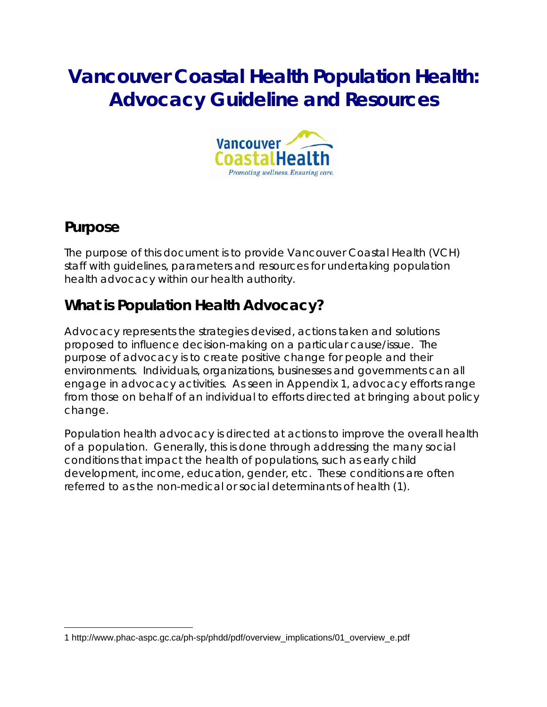# **Vancouver Coastal Health Population Health: Advocacy Guideline and Resources**



### **Purpose**

 $\overline{a}$ 

The purpose of this document is to provide Vancouver Coastal Health (VCH) staff with guidelines, parameters and resources for undertaking population health advocacy within our health authority.

## **What is Population Health Advocacy?**

Advocacy represents the strategies devised, actions taken and solutions proposed to influence decision-making on a particular cause/issue. The purpose of advocacy is to create positive change for people and their environments. Individuals, organizations, businesses and governments can all engage in advocacy activities. As seen in Appendix 1, advocacy efforts range from those on behalf of an individual to efforts directed at bringing about policy change.

Population health advocacy is directed at actions to improve the overall health of a population. Generally, this is done through addressing the many social conditions that impact the health of populations, such as early child development, income, education, gender, etc. These conditions are often referred to as the *non-medical or social determinants of health (1).*

<sup>1</sup> http://www.phac-aspc.gc.ca/ph-sp/phdd/pdf/overview\_implications/01\_overview\_e.pdf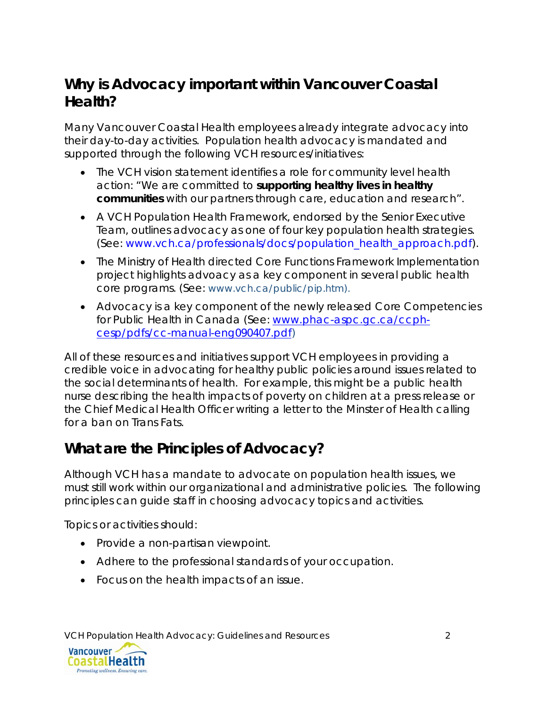## **Why is Advocacy important within Vancouver Coastal Health?**

Many Vancouver Coastal Health employees already integrate advocacy into their day-to-day activities. Population health advocacy is mandated and supported through the following VCH resources/initiatives:

- The VCH vision statement identifies a role for community level health action: *"We are committed to supporting healthy lives in healthy communities with our partners through care, education and research".*
- A VCH Population Health Framework, endorsed by the Senior Executive Team, outlines advocacy as one of four key population health strategies. (See: www.vch.ca/professionals/docs/population\_health\_approach.pdf).
- The Ministry of Health directed Core Functions Framework Implementation project highlights advoacy as a key component in several public health core programs. (See: www.vch.ca/public/pip.htm).
- Advocacy is a key component of the newly released *Core Competencies for Public Health in Canada* (See: www.phac-aspc.gc.ca/ccphcesp/pdfs/cc-manual-eng090407.pdf)

All of these resources and initiatives support VCH employees in providing a credible voice in advocating for healthy public policies around issues related to the social determinants of health. For example, this might be a public health nurse describing the health impacts of poverty on children at a press release or the Chief Medical Health Officer writing a letter to the Minster of Health calling for a ban on Trans Fats.

## **What are the Principles of Advocacy?**

Although VCH has a mandate to advocate on population health issues, we must still work within our organizational and administrative policies. The following principles can guide staff in choosing advocacy topics and activities.

Topics or activities should:

- Provide a non-partisan viewpoint.
- Adhere to the professional standards of your occupation.
- Focus on the health impacts of an issue.

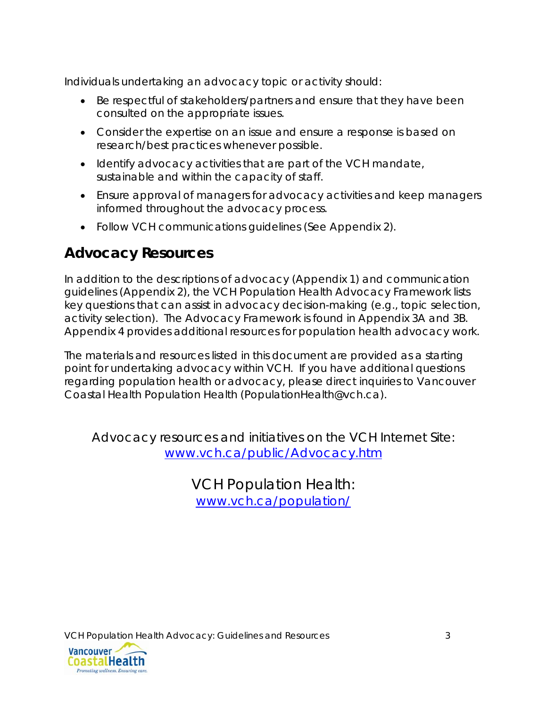Individuals undertaking an advocacy topic or activity should:

- Be respectful of stakeholders/partners and ensure that they have been consulted on the appropriate issues.
- Consider the expertise on an issue and ensure a response is based on research/best practices whenever possible.
- Identify advocacy activities that are part of the VCH mandate, sustainable and within the capacity of staff.
- Ensure approval of managers for advocacy activities and keep managers informed throughout the advocacy process.
- Follow VCH communications guidelines (See Appendix 2).

## **Advocacy Resources**

In addition to the descriptions of advocacy (Appendix 1) and communication guidelines (Appendix 2), the VCH Population Health Advocacy Framework lists key questions that can assist in advocacy decision-making (e.g., topic selection, activity selection). The Advocacy Framework is found in Appendix 3A and 3B. Appendix 4 provides additional resources for population health advocacy work.

The materials and resources listed in this document are provided as a starting point for undertaking advocacy within VCH. If you have additional questions regarding population health or advocacy, please direct inquiries to Vancouver Coastal Health Population Health (PopulationHealth@vch.ca).

Advocacy resources and initiatives on the VCH Internet Site: www.vch.ca/public/Advocacy.htm

> VCH Population Health: www.vch.ca/population/

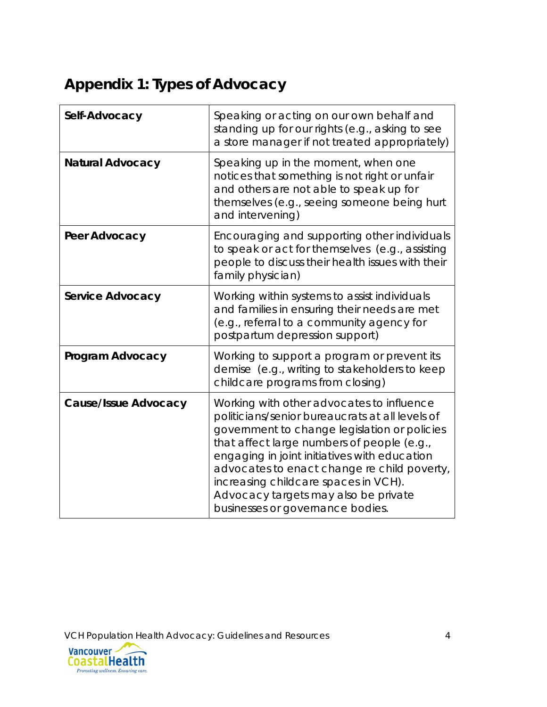## **Appendix 1: Types of Advocacy**

| Self-Advocacy               | Speaking or acting on our own behalf and<br>standing up for our rights (e.g., asking to see<br>a store manager if not treated appropriately)                                                                                                                                                                                                                                                                  |
|-----------------------------|---------------------------------------------------------------------------------------------------------------------------------------------------------------------------------------------------------------------------------------------------------------------------------------------------------------------------------------------------------------------------------------------------------------|
| <b>Natural Advocacy</b>     | Speaking up in the moment, when one<br>notices that something is not right or unfair<br>and others are not able to speak up for<br>themselves (e.g., seeing someone being hurt<br>and intervening)                                                                                                                                                                                                            |
| Peer Advocacy               | Encouraging and supporting other individuals<br>to speak or act for themselves (e.g., assisting<br>people to discuss their health issues with their<br>family physician)                                                                                                                                                                                                                                      |
| <b>Service Advocacy</b>     | Working within systems to assist individuals<br>and families in ensuring their needs are met<br>(e.g., referral to a community agency for<br>postpartum depression support)                                                                                                                                                                                                                                   |
| Program Advocacy            | Working to support a program or prevent its<br>demise (e.g., writing to stakeholders to keep<br>childcare programs from closing)                                                                                                                                                                                                                                                                              |
| <b>Cause/Issue Advocacy</b> | Working with other advocates to influence<br>politicians/senior bureaucrats at all levels of<br>government to change legislation or policies<br>that affect large numbers of people (e.g.,<br>engaging in joint initiatives with education<br>advocates to enact change re child poverty,<br>increasing childcare spaces in VCH).<br>Advocacy targets may also be private<br>businesses or governance bodies. |

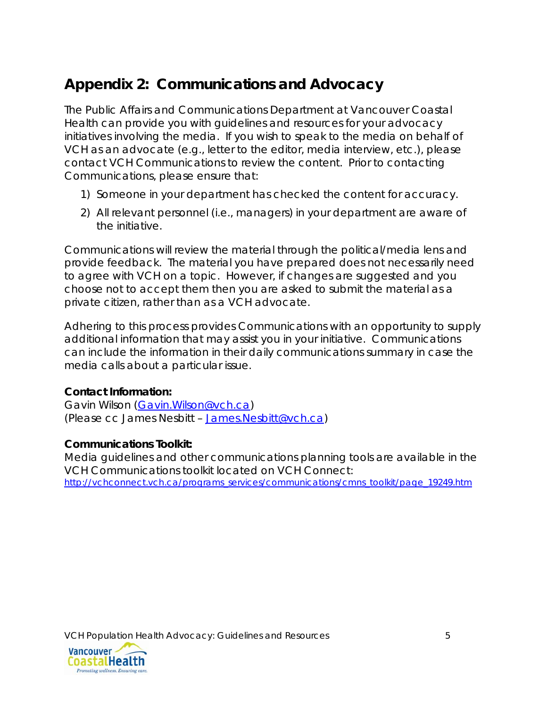## **Appendix 2: Communications and Advocacy**

The Public Affairs and Communications Department at Vancouver Coastal Health can provide you with guidelines and resources for your advocacy initiatives involving the media. If you wish to speak to the media on behalf of VCH as an advocate (e.g., letter to the editor, media interview, etc.), please contact VCH Communications to review the content. Prior to contacting Communications, please ensure that:

- 1) Someone in your department has checked the content for accuracy.
- 2) All relevant personnel (i.e., managers) in your department are aware of the initiative.

Communications will review the material through the political/media lens and provide feedback. The material you have prepared does not necessarily need to agree with VCH on a topic. However, if changes are suggested and you choose not to accept them then you are asked to submit the material as a private citizen, rather than as a VCH advocate.

Adhering to this process provides Communications with an opportunity to supply additional information that may assist you in your initiative. Communications can include the information in their daily communications summary in case the media calls about a particular issue.

### **Contact Information:**

Gavin Wilson (Gavin.Wilson@vch.ca) (Please cc James Nesbitt – James.Nesbitt@vch.ca)

### **Communications Toolkit:**

Media guidelines and other communications planning tools are available in the VCH Communications toolkit located on VCH Connect: http://vchconnect.vch.ca/programs\_services/communications/cmns\_toolkit/page\_19249.htm

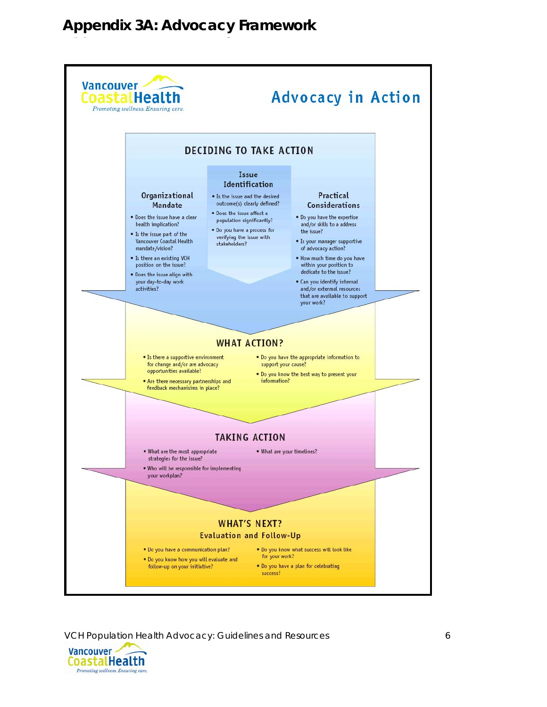## **Appendix 3A: Advocacy Framework**



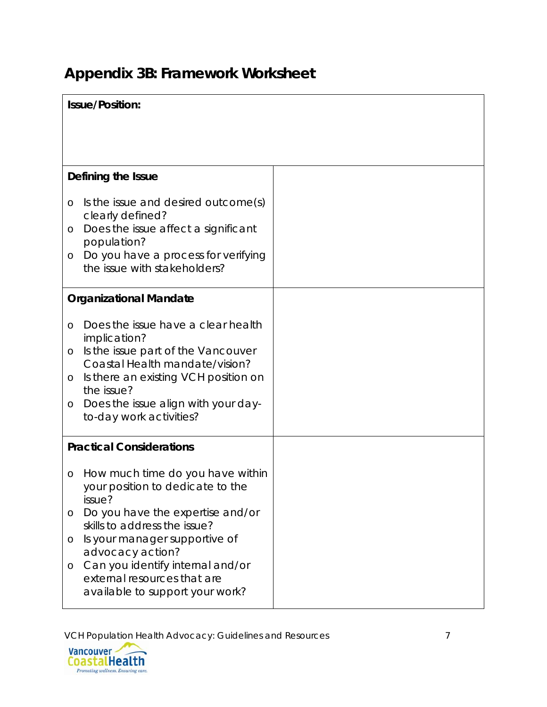# **Appendix 3B: Framework Worksheet**

| <b>Issue/Position:</b> |                                                                                                    |  |
|------------------------|----------------------------------------------------------------------------------------------------|--|
|                        |                                                                                                    |  |
|                        |                                                                                                    |  |
|                        | Defining the Issue                                                                                 |  |
| $\circ$                | Is the issue and desired outcome(s)<br>clearly defined?                                            |  |
| O                      | Does the issue affect a significant<br>population?                                                 |  |
| O                      | Do you have a process for verifying<br>the issue with stakeholders?                                |  |
|                        | <b>Organizational Mandate</b>                                                                      |  |
| O                      | Does the issue have a clear health<br>implication?                                                 |  |
| $\circ$                | Is the issue part of the Vancouver<br>Coastal Health mandate/vision?                               |  |
| O                      | Is there an existing VCH position on<br>the issue?                                                 |  |
| O                      | Does the issue align with your day-<br>to-day work activities?                                     |  |
|                        | <b>Practical Considerations</b>                                                                    |  |
| O                      | How much time do you have within<br>your position to dedicate to the<br>issue?                     |  |
| O                      | Do you have the expertise and/or<br>skills to address the issue?                                   |  |
| O                      | Is your manager supportive of<br>advocacy action?                                                  |  |
| O                      | Can you identify internal and/or<br>external resources that are<br>available to support your work? |  |

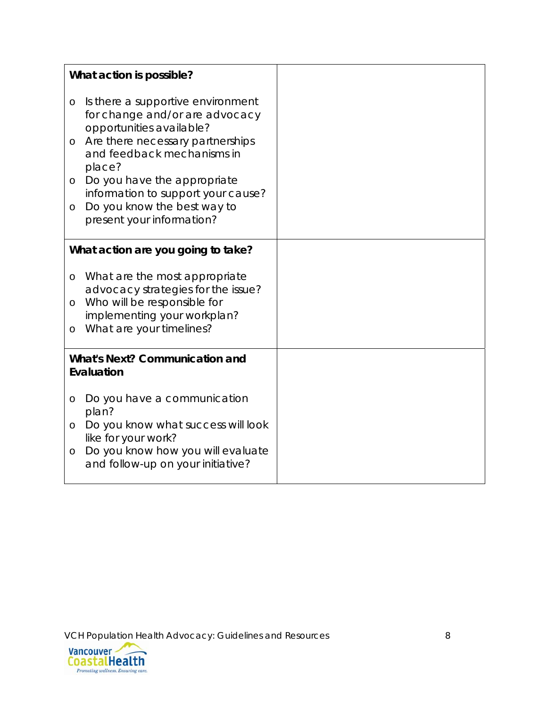|                                                     | What action is possible?                                                                                                                                                    |  |
|-----------------------------------------------------|-----------------------------------------------------------------------------------------------------------------------------------------------------------------------------|--|
| O<br>O                                              | Is there a supportive environment<br>for change and/or are advocacy<br>opportunities available?<br>Are there necessary partnerships<br>and feedback mechanisms in<br>place? |  |
| $\circ$<br>O                                        | Do you have the appropriate<br>information to support your cause?<br>Do you know the best way to<br>present your information?                                               |  |
|                                                     | What action are you going to take?                                                                                                                                          |  |
| O<br>$\circ$<br>O                                   | What are the most appropriate<br>advocacy strategies for the issue?<br>Who will be responsible for<br>implementing your workplan?<br>What are your timelines?               |  |
| <b>What's Next? Communication and</b><br>Evaluation |                                                                                                                                                                             |  |
|                                                     |                                                                                                                                                                             |  |
| O                                                   | Do you have a communication<br>plan?                                                                                                                                        |  |
| $\circ$                                             | Do you know what success will look<br>like for your work?                                                                                                                   |  |
| $\circ$                                             | Do you know how you will evaluate<br>and follow-up on your initiative?                                                                                                      |  |

VCH Population Health Advocacy: Guidelines and Resources 8<br> **Vancouver**<br> **Coastal Health**<br> **Promoting wellness. Ensuring care.** 

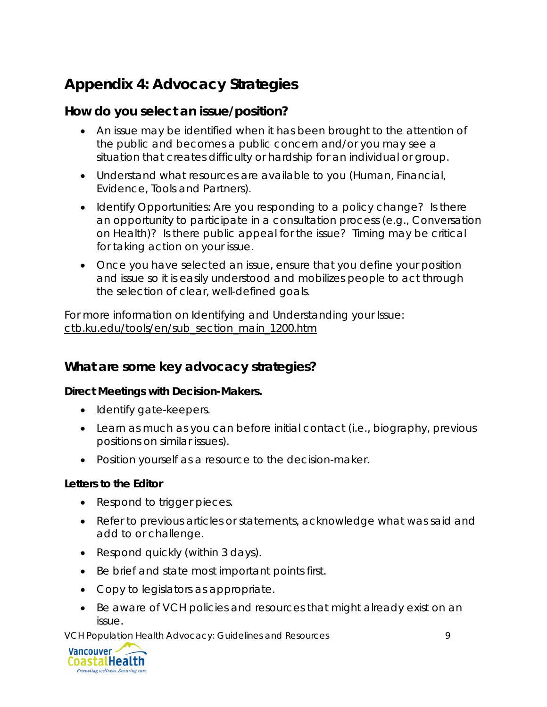## **Appendix 4: Advocacy Strategies**

### **How do you select an issue/position?**

- An issue may be identified when it has been brought to the attention of the public and becomes a public concern and/or you may see a situation that creates difficulty or hardship for an individual or group.
- Understand what resources are available to you (Human, Financial, Evidence, Tools and Partners).
- Identify Opportunities: Are you responding to a policy change? Is there an opportunity to participate in a consultation process (e.g., Conversation on Health)? Is there public appeal for the issue? Timing may be critical for taking action on your issue.
- Once you have selected an issue, ensure that you define your position and issue so it is easily understood and mobilizes people to act through the selection of clear, well-defined goals.

For more information on Identifying and Understanding your Issue: ctb.ku.edu/tools/en/sub\_section\_main\_1200.htm

### **What are some key advocacy strategies?**

### **Direct Meetings with Decision-Makers.**

- Identify gate-keepers.
- Learn as much as you can before initial contact (i.e., biography, previous positions on similar issues).
- Position yourself as a resource to the decision-maker.

### **Letters to the Editor**

- Respond to trigger pieces.
- Refer to previous articles or statements, acknowledge what was said and add to or challenge.
- Respond quickly (within 3 days).
- Be brief and state most important points first.
- Copy to legislators as appropriate.
- Be aware of VCH policies and resources that might already exist on an issue.

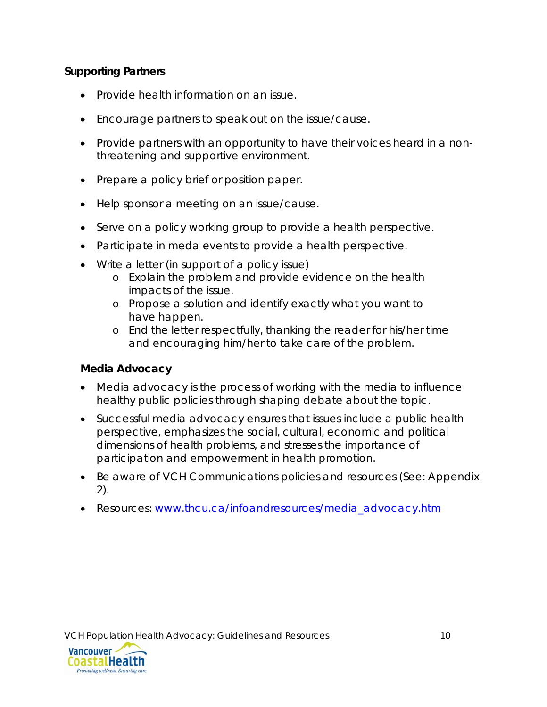#### **Supporting Partners**

- Provide health information on an issue.
- Encourage partners to speak out on the issue/cause.
- Provide partners with an opportunity to have their voices heard in a nonthreatening and supportive environment.
- Prepare a policy brief or position paper.
- Help sponsor a meeting on an issue/cause.
- Serve on a policy working group to provide a health perspective.
- Participate in meda events to provide a health perspective.
- Write a letter (in support of a policy issue)
	- o Explain the problem and provide evidence on the health impacts of the issue.
	- o Propose a solution and identify exactly what you want to have happen.
	- o End the letter respectfully, thanking the reader for his/her time and encouraging him/her to take care of the problem.

#### **Media Advocacy**

- Media advocacy is the process of working with the media to influence healthy public policies through shaping debate about the topic.
- Successful media advocacy ensures that issues include a public health perspective, emphasizes the social, cultural, economic and political dimensions of health problems, and stresses the importance of participation and empowerment in health promotion.
- Be aware of VCH Communications policies and resources (See: Appendix 2).
- Resources: www.thcu.ca/infoandresources/media\_advocacy.htm